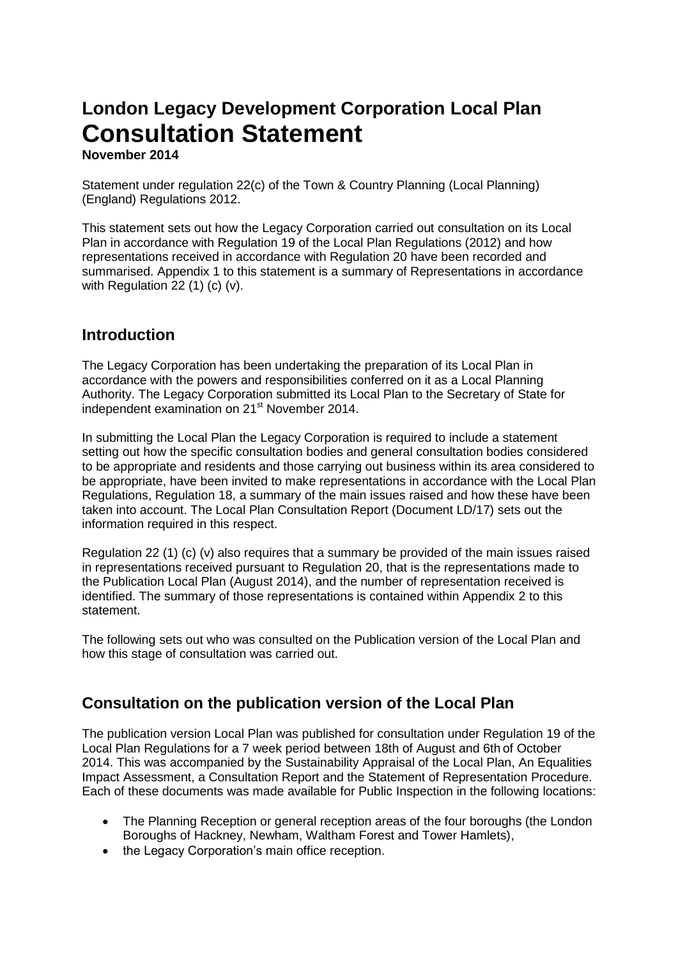# **London Legacy Development Corporation Local Plan Consultation Statement**

**November 2014** 

Statement under regulation 22(c) of the Town & Country Planning (Local Planning) (England) Regulations 2012.

This statement sets out how the Legacy Corporation carried out consultation on its Local Plan in accordance with Regulation 19 of the Local Plan Regulations (2012) and how representations received in accordance with Regulation 20 have been recorded and summarised. Appendix 1 to this statement is a summary of Representations in accordance with Regulation 22 (1) (c) (v).

#### **Introduction**

The Legacy Corporation has been undertaking the preparation of its Local Plan in accordance with the powers and responsibilities conferred on it as a Local Planning Authority. The Legacy Corporation submitted its Local Plan to the Secretary of State for independent examination on 21st November 2014.

In submitting the Local Plan the Legacy Corporation is required to include a statement setting out how the specific consultation bodies and general consultation bodies considered to be appropriate and residents and those carrying out business within its area considered to be appropriate, have been invited to make representations in accordance with the Local Plan Regulations, Regulation 18, a summary of the main issues raised and how these have been taken into account. The Local Plan Consultation Report (Document LD/17) sets out the information required in this respect.

Regulation 22 (1) (c) (v) also requires that a summary be provided of the main issues raised in representations received pursuant to Regulation 20, that is the representations made to the Publication Local Plan (August 2014), and the number of representation received is identified. The summary of those representations is contained within Appendix 2 to this statement.

The following sets out who was consulted on the Publication version of the Local Plan and how this stage of consultation was carried out.

#### **Consultation on the publication version of the Local Plan**

The publication version Local Plan was published for consultation under Regulation 19 of the Local Plan Regulations for a 7 week period between 18th of August and 6th of October 2014. This was accompanied by the Sustainability Appraisal of the Local Plan, An Equalities Impact Assessment, a Consultation Report and the Statement of Representation Procedure. Each of these documents was made available for Public Inspection in the following locations:

- The Planning Reception or general reception areas of the four boroughs (the London Boroughs of Hackney, Newham, Waltham Forest and Tower Hamlets),
- the Legacy Corporation's main office reception.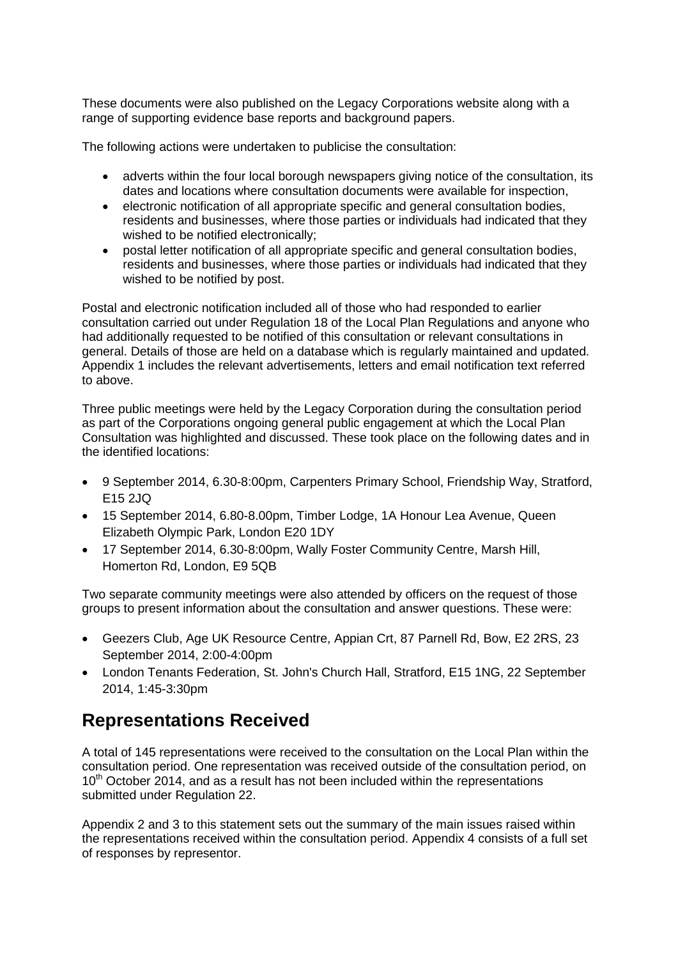These documents were also published on the Legacy Corporations website along with a range of supporting evidence base reports and background papers.

The following actions were undertaken to publicise the consultation:

- adverts within the four local borough newspapers giving notice of the consultation, its dates and locations where consultation documents were available for inspection,
- electronic notification of all appropriate specific and general consultation bodies, residents and businesses, where those parties or individuals had indicated that they wished to be notified electronically;
- postal letter notification of all appropriate specific and general consultation bodies, residents and businesses, where those parties or individuals had indicated that they wished to be notified by post.

Postal and electronic notification included all of those who had responded to earlier consultation carried out under Regulation 18 of the Local Plan Regulations and anyone who had additionally requested to be notified of this consultation or relevant consultations in general. Details of those are held on a database which is regularly maintained and updated. Appendix 1 includes the relevant advertisements, letters and email notification text referred to above.

Three public meetings were held by the Legacy Corporation during the consultation period as part of the Corporations ongoing general public engagement at which the Local Plan Consultation was highlighted and discussed. These took place on the following dates and in the identified locations:

- 9 September 2014, 6.30-8:00pm, Carpenters Primary School, Friendship Way, Stratford, E15 2JQ
- 15 September 2014, 6.80-8.00pm, Timber Lodge, 1A Honour Lea Avenue, Queen Elizabeth Olympic Park, London E20 1DY
- 17 September 2014, 6.30-8:00pm, Wally Foster Community Centre, Marsh Hill, Homerton Rd, London, E9 5QB

Two separate community meetings were also attended by officers on the request of those groups to present information about the consultation and answer questions. These were:

- Geezers Club, Age UK Resource Centre, Appian Crt, 87 Parnell Rd, Bow, E2 2RS, 23 September 2014, 2:00-4:00pm
- London Tenants Federation, St. John's Church Hall, Stratford, E15 1NG, 22 September 2014, 1:45-3:30pm

### **Representations Received**

A total of 145 representations were received to the consultation on the Local Plan within the consultation period. One representation was received outside of the consultation period, on 10<sup>th</sup> October 2014, and as a result has not been included within the representations submitted under Regulation 22.

Appendix 2 and 3 to this statement sets out the summary of the main issues raised within the representations received within the consultation period. Appendix 4 consists of a full set of responses by representor.